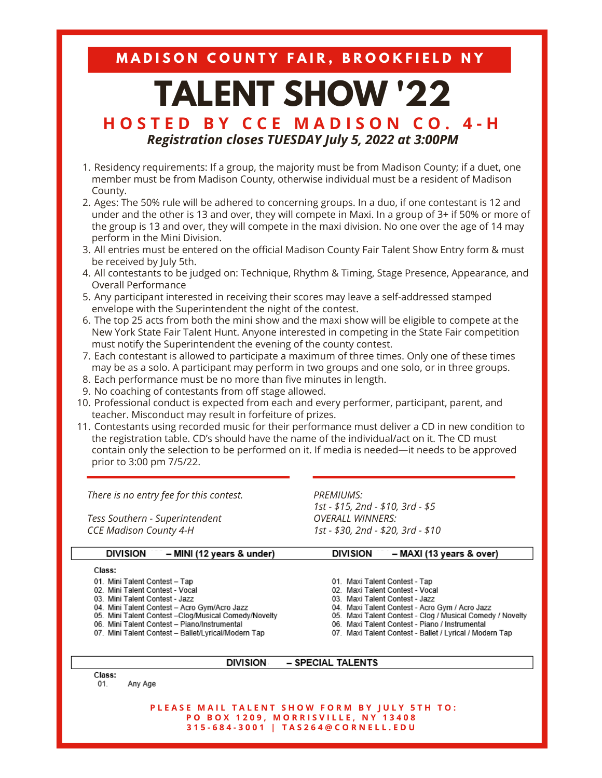MADISON COUNTY FAIR, BROOKFIELD NY

# **TALENT SHOW '22**

## **H O S T E D B Y C C E M A D I S O N C O . 4 - H** *Registration closes TUESDAY July 5, 2022 at 3:00PM*

- 1. Residency requirements: If a group, the majority must be from Madison County; if a duet, one member must be from Madison County, otherwise individual must be a resident of Madison County.
- 2. Ages: The 50% rule will be adhered to concerning groups. In a duo, if one contestant is 12 and under and the other is 13 and over, they will compete in Maxi. In a group of 3+ if 50% or more of the group is 13 and over, they will compete in the maxi division. No one over the age of 14 may perform in the Mini Division.
- 3. All entries must be entered on the official Madison County Fair Talent Show Entry form & must be received by July 5th.
- 4. All contestants to be judged on: Technique, Rhythm & Timing, Stage Presence, Appearance, and Overall Performance
- 5. Any participant interested in receiving their scores may leave a self-addressed stamped envelope with the Superintendent the night of the contest.
- 6. The top 25 acts from both the mini show and the maxi show will be eligible to compete at the New York State Fair Talent Hunt. Anyone interested in competing in the State Fair competition must notify the Superintendent the evening of the county contest.
- Each contestant is allowed to participate a maximum of three times. Only one of these times 7. may be as a solo. A participant may perform in two groups and one solo, or in three groups.
- Each performance must be no more than five minutes in length. 8.
- No coaching of contestants from off stage allowed. 9.
- 10. Professional conduct is expected from each and every performer, participant, parent, and teacher. Misconduct may result in forfeiture of prizes.
- 11. Contestants using recorded music for their performance must deliver a CD in new condition to the registration table. CD's should have the name of the individual/act on it. The CD must contain only the selection to be performed on it. If media is needed—it needs to be approved prior to 3:00 pm 7/5/22.

*There is no entry fee for this contest.*

*Tess Southern - Superintendent CCE Madison County 4-H*

*PREMIUMS: 1st - \$30, 2nd - \$20, 3rd - \$10*

| <b>DIVISION</b> | – MINI (12 years & under) | <b>DIVISION</b> | – MAXI (13 years & over) |
|-----------------|---------------------------|-----------------|--------------------------|
|-----------------|---------------------------|-----------------|--------------------------|

### Class:

- 01. Mini Talent Contest Tap
- 02. Mini Talent Contest Vocal
- 03. Mini Talent Contest Jazz
- 04. Mini Talent Contest Acro Gym/Acro Jazz<br>05. Mini Talent Contest Clog/Musical Comedy/Novelty
- 06. Mini Talent Contest Piano/Instrumental
- 07. Mini Talent Contest Ballet/Lyrical/Modern Tap

*1st - \$15, 2nd - \$10, 3rd - \$5 OVERALL WINNERS:*

- 01. Maxi Talent Contest Tap 02. Maxi Talent Contest - Vocal
- 03. Maxi Talent Contest Jazz
- 04. Maxi Talent Contest Acro Gym / Acro Jazz
- 05. Maxi Talent Contest Clog / Musical Comedy / Novelty
- 06. Maxi Talent Contest Piano / Instrumental
- 07. Maxi Talent Contest Ballet / Lyrical / Modern Tap

#### **DIVISION** - SPECIAL TALENTS

Class:

 $01$ Any Age

> PLEASE MAIL TALENT SHOW FORM BY JULY 5TH TO: PO BOX 1209, MORRISVILLE, NY 13408 315-684-3001 | TAS264@CORNELL.EDU